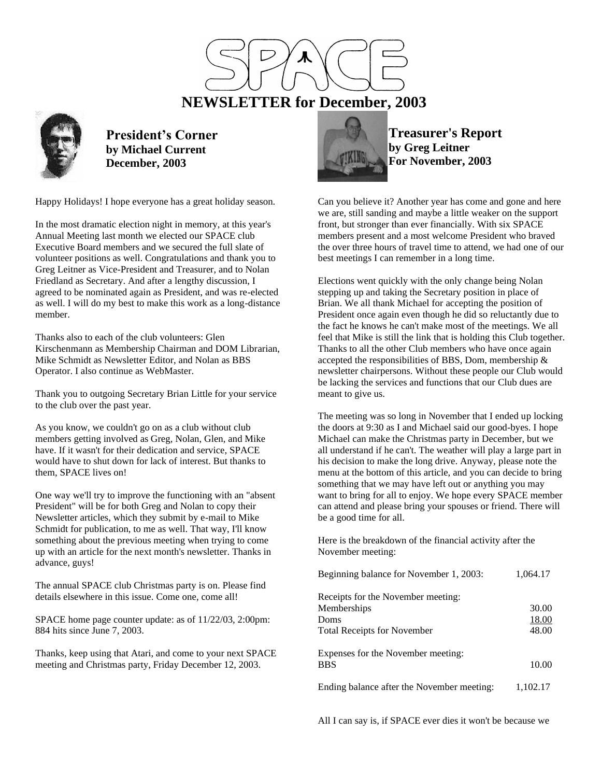

 **NEWSLETTER for December, 2003**



**President's Corner by Michael Current December, 2003**

Happy Holidays! I hope everyone has a great holiday season.

In the most dramatic election night in memory, at this year's Annual Meeting last month we elected our SPACE club Executive Board members and we secured the full slate of volunteer positions as well. Congratulations and thank you to Greg Leitner as Vice-President and Treasurer, and to Nolan Friedland as Secretary. And after a lengthy discussion, I agreed to be nominated again as President, and was re-elected as well. I will do my best to make this work as a long-distance member.

Thanks also to each of the club volunteers: Glen Kirschenmann as Membership Chairman and DOM Librarian, Mike Schmidt as Newsletter Editor, and Nolan as BBS Operator. I also continue as WebMaster.

Thank you to outgoing Secretary Brian Little for your service to the club over the past year.

As you know, we couldn't go on as a club without club members getting involved as Greg, Nolan, Glen, and Mike have. If it wasn't for their dedication and service, SPACE would have to shut down for lack of interest. But thanks to them, SPACE lives on!

One way we'll try to improve the functioning with an "absent President" will be for both Greg and Nolan to copy their Newsletter articles, which they submit by e-mail to Mike Schmidt for publication, to me as well. That way, I'll know something about the previous meeting when trying to come up with an article for the next month's newsletter. Thanks in advance, guys!

The annual SPACE club Christmas party is on. Please find details elsewhere in this issue. Come one, come all!

SPACE home page counter update: as of 11/22/03, 2:00pm: 884 hits since June 7, 2003.

Thanks, keep using that Atari, and come to your next SPACE meeting and Christmas party, Friday December 12, 2003.



**Treasurer's Report by Greg Leitner For November, 2003**

Can you believe it? Another year has come and gone and here we are, still sanding and maybe a little weaker on the support front, but stronger than ever financially. With six SPACE members present and a most welcome President who braved the over three hours of travel time to attend, we had one of our best meetings I can remember in a long time.

Elections went quickly with the only change being Nolan stepping up and taking the Secretary position in place of Brian. We all thank Michael for accepting the position of President once again even though he did so reluctantly due to the fact he knows he can't make most of the meetings. We all feel that Mike is still the link that is holding this Club together. Thanks to all the other Club members who have once again accepted the responsibilities of BBS, Dom, membership & newsletter chairpersons. Without these people our Club would be lacking the services and functions that our Club dues are meant to give us.

The meeting was so long in November that I ended up locking the doors at 9:30 as I and Michael said our good-byes. I hope Michael can make the Christmas party in December, but we all understand if he can't. The weather will play a large part in his decision to make the long drive. Anyway, please note the menu at the bottom of this article, and you can decide to bring something that we may have left out or anything you may want to bring for all to enjoy. We hope every SPACE member can attend and please bring your spouses or friend. There will be a good time for all.

Here is the breakdown of the financial activity after the November meeting:

| Beginning balance for November 1, 2003:           | 1,064.17       |
|---------------------------------------------------|----------------|
| Receipts for the November meeting:<br>Memberships | 30.00          |
| Doms<br><b>Total Receipts for November</b>        | 18.00<br>48.00 |
| Expenses for the November meeting:<br><b>BBS</b>  | 10.00          |
| Ending balance after the November meeting:        | 1,102.17       |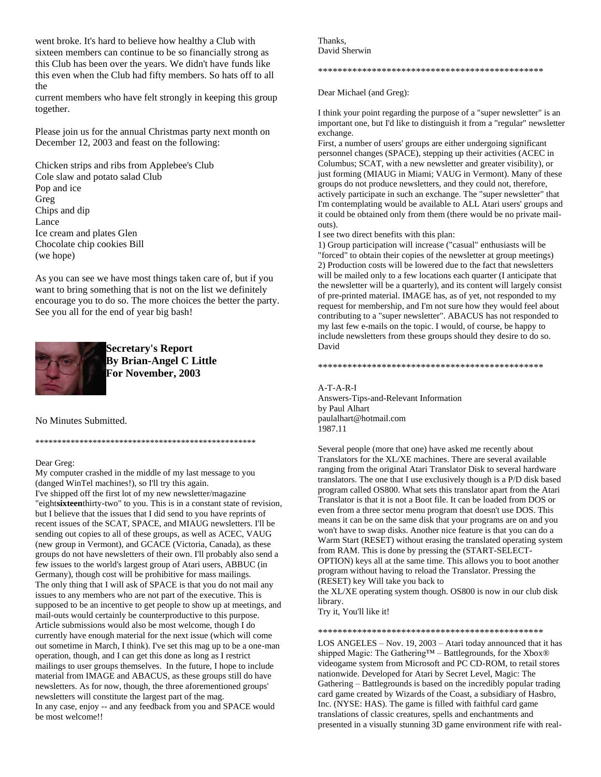went broke. It's hard to believe how healthy a Club with sixteen members can continue to be so financially strong as this Club has been over the years. We didn't have funds like this even when the Club had fifty members. So hats off to all the

current members who have felt strongly in keeping this group together.

Please join us for the annual Christmas party next month on December 12, 2003 and feast on the following:

Chicken strips and ribs from Applebee's Club Cole slaw and potato salad Club Pop and ice Greg Chips and dip Lance Ice cream and plates Glen Chocolate chip cookies Bill (we hope)

As you can see we have most things taken care of, but if you want to bring something that is not on the list we definitely encourage you to do so. The more choices the better the party. See you all for the end of year big bash!



**Secretary's Report By Brian-Angel C Little For November, 2003**

\*\*\*\*\*\*\*\*\*\*\*\*\*\*\*\*\*\*\*\*\*\*\*\*\*\*\*\*\*\*\*\*\*\*\*\*\*\*\*\*\*\*\*\*\*\*\*\*\*\*

No Minutes Submitted.

# Dear Greg:

My computer crashed in the middle of my last message to you (danged WinTel machines!), so I'll try this again. I've shipped off the first lot of my new newsletter/magazine "eight**sixteen**thirty-two" to you. This is in a constant state of revision, but I believe that the issues that I did send to you have reprints of recent issues of the SCAT, SPACE, and MIAUG newsletters. I'll be sending out copies to all of these groups, as well as ACEC, VAUG (new group in Vermont), and GCACE (Victoria, Canada), as these groups do not have newsletters of their own. I'll probably also send a few issues to the world's largest group of Atari users, ABBUC (in Germany), though cost will be prohibitive for mass mailings. The only thing that I will ask of SPACE is that you do not mail any issues to any members who are not part of the executive. This is supposed to be an incentive to get people to show up at meetings, and mail-outs would certainly be counterproductive to this purpose. Article submissions would also be most welcome, though I do currently have enough material for the next issue (which will come out sometime in March, I think). I've set this mag up to be a one-man operation, though, and I can get this done as long as I restrict mailings to user groups themselves. In the future, I hope to include material from IMAGE and ABACUS, as these groups still do have newsletters. As for now, though, the three aforementioned groups' newsletters will constitute the largest part of the mag. In any case, enjoy -- and any feedback from you and SPACE would be most welcome!!

Thanks, David Sherwin

\*\*\*\*\*\*\*\*\*\*\*\*\*\*\*\*\*\*\*\*\*\*\*\*\*\*\*\*\*\*\*\*\*\*\*\*\*\*\*\*\*\*\*\*\*\*

Dear Michael (and Greg):

I think your point regarding the purpose of a "super newsletter" is an important one, but I'd like to distinguish it from a "regular" newsletter exchange.

First, a number of users' groups are either undergoing significant personnel changes (SPACE), stepping up their activities (ACEC in Columbus; SCAT, with a new newsletter and greater visibility), or just forming (MIAUG in Miami; VAUG in Vermont). Many of these groups do not produce newsletters, and they could not, therefore, actively participate in such an exchange. The "super newsletter" that I'm contemplating would be available to ALL Atari users' groups and it could be obtained only from them (there would be no private mailouts).

I see two direct benefits with this plan:

1) Group participation will increase ("casual" enthusiasts will be "forced" to obtain their copies of the newsletter at group meetings) 2) Production costs will be lowered due to the fact that newsletters will be mailed only to a few locations each quarter (I anticipate that the newsletter will be a quarterly), and its content will largely consist of pre-printed material. IMAGE has, as of yet, not responded to my request for membership, and I'm not sure how they would feel about contributing to a "super newsletter". ABACUS has not responded to my last few e-mails on the topic. I would, of course, be happy to include newsletters from these groups should they desire to do so. David

\*\*\*\*\*\*\*\*\*\*\*\*\*\*\*\*\*\*\*\*\*\*\*\*\*\*\*\*\*\*\*\*\*\*\*\*\*\*\*\*\*\*\*\*\*\*

#### A-T-A-R-I

Answers-Tips-and-Relevant Information by Paul Alhart paulalhart@hotmail.com 1987.11

Several people (more that one) have asked me recently about Translators for the XL/XE machines. There are several available ranging from the original Atari Translator Disk to several hardware translators. The one that I use exclusively though is a P/D disk based program called OS800. What sets this translator apart from the Atari Translator is that it is not a Boot file. It can be loaded from DOS or even from a three sector menu program that doesn't use DOS. This means it can be on the same disk that your programs are on and you won't have to swap disks. Another nice feature is that you can do a Warm Start (RESET) without erasing the translated operating system from RAM. This is done by pressing the (START-SELECT-OPTION) keys all at the same time. This allows you to boot another program without having to reload the Translator. Pressing the (RESET) key Will take you back to the XL/XE operating system though. OS800 is now in our club disk

library.

Try it, You'll like it!

## \*\*\*\*\*\*\*\*\*\*\*\*\*\*\*\*\*\*\*\*\*\*\*\*\*\*\*\*\*\*\*\*\*\*\*\*\*\*\*\*\*\*\*\*\*\*

LOS ANGELES – Nov. 19, 2003 – Atari today announced that it has shipped Magic: The Gathering™ – Battlegrounds, for the Xbox® videogame system from Microsoft and PC CD-ROM, to retail stores nationwide. Developed for Atari by Secret Level, Magic: The Gathering – Battlegrounds is based on the incredibly popular trading card game created by Wizards of the Coast, a subsidiary of Hasbro, Inc. (NYSE: HAS). The game is filled with faithful card game translations of classic creatures, spells and enchantments and presented in a visually stunning 3D game environment rife with real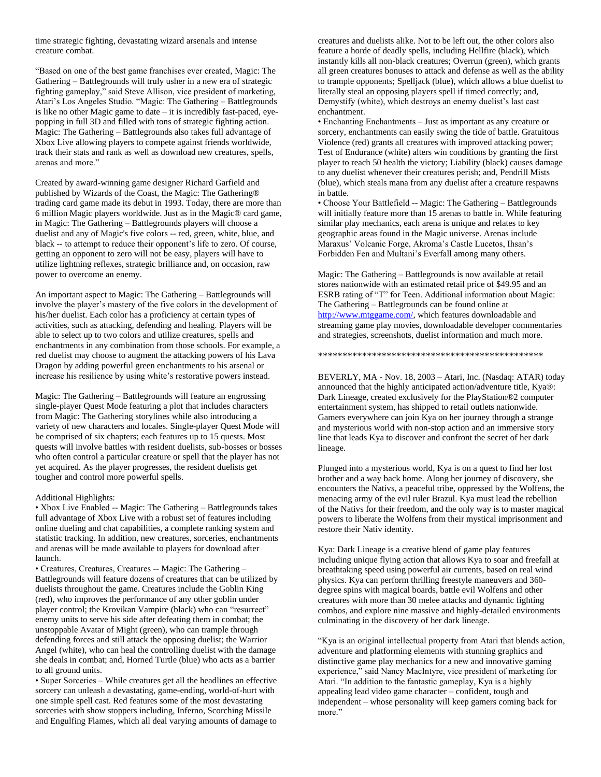time strategic fighting, devastating wizard arsenals and intense creature combat.

"Based on one of the best game franchises ever created, Magic: The Gathering – Battlegrounds will truly usher in a new era of strategic fighting gameplay," said Steve Allison, vice president of marketing, Atari's Los Angeles Studio. "Magic: The Gathering – Battlegrounds is like no other Magic game to date – it is incredibly fast-paced, eyepopping in full 3D and filled with tons of strategic fighting action. Magic: The Gathering – Battlegrounds also takes full advantage of Xbox Live allowing players to compete against friends worldwide, track their stats and rank as well as download new creatures, spells, arenas and more."

Created by award-winning game designer Richard Garfield and published by Wizards of the Coast, the Magic: The Gathering® trading card game made its debut in 1993. Today, there are more than 6 million Magic players worldwide. Just as in the Magic® card game, in Magic: The Gathering – Battlegrounds players will choose a duelist and any of Magic's five colors -- red, green, white, blue, and black -- to attempt to reduce their opponent's life to zero. Of course, getting an opponent to zero will not be easy, players will have to utilize lightning reflexes, strategic brilliance and, on occasion, raw power to overcome an enemy.

An important aspect to Magic: The Gathering – Battlegrounds will involve the player's mastery of the five colors in the development of his/her duelist. Each color has a proficiency at certain types of activities, such as attacking, defending and healing. Players will be able to select up to two colors and utilize creatures, spells and enchantments in any combination from those schools. For example, a red duelist may choose to augment the attacking powers of his Lava Dragon by adding powerful green enchantments to his arsenal or increase his resilience by using white's restorative powers instead.

Magic: The Gathering – Battlegrounds will feature an engrossing single-player Quest Mode featuring a plot that includes characters from Magic: The Gathering storylines while also introducing a variety of new characters and locales. Single-player Quest Mode will be comprised of six chapters; each features up to 15 quests. Most quests will involve battles with resident duelists, sub-bosses or bosses who often control a particular creature or spell that the player has not yet acquired. As the player progresses, the resident duelists get tougher and control more powerful spells.

# Additional Highlights:

• Xbox Live Enabled -- Magic: The Gathering – Battlegrounds takes full advantage of Xbox Live with a robust set of features including online dueling and chat capabilities, a complete ranking system and statistic tracking. In addition, new creatures, sorceries, enchantments and arenas will be made available to players for download after launch.

• Creatures, Creatures, Creatures -- Magic: The Gathering – Battlegrounds will feature dozens of creatures that can be utilized by duelists throughout the game. Creatures include the Goblin King (red), who improves the performance of any other goblin under player control; the Krovikan Vampire (black) who can "resurrect" enemy units to serve his side after defeating them in combat; the unstoppable Avatar of Might (green), who can trample through defending forces and still attack the opposing duelist; the Warrior Angel (white), who can heal the controlling duelist with the damage she deals in combat; and, Horned Turtle (blue) who acts as a barrier to all ground units.

• Super Sorceries – While creatures get all the headlines an effective sorcery can unleash a devastating, game-ending, world-of-hurt with one simple spell cast. Red features some of the most devastating sorceries with show stoppers including, Inferno, Scorching Missile and Engulfing Flames, which all deal varying amounts of damage to creatures and duelists alike. Not to be left out, the other colors also feature a horde of deadly spells, including Hellfire (black), which instantly kills all non-black creatures; Overrun (green), which grants all green creatures bonuses to attack and defense as well as the ability to trample opponents; Spelljack (blue), which allows a blue duelist to literally steal an opposing players spell if timed correctly; and, Demystify (white), which destroys an enemy duelist's last cast enchantment.

• Enchanting Enchantments – Just as important as any creature or sorcery, enchantments can easily swing the tide of battle. Gratuitous Violence (red) grants all creatures with improved attacking power; Test of Endurance (white) alters win conditions by granting the first player to reach 50 health the victory; Liability (black) causes damage to any duelist whenever their creatures perish; and, Pendrill Mists (blue), which steals mana from any duelist after a creature respawns in battle.

• Choose Your Battlefield -- Magic: The Gathering – Battlegrounds will initially feature more than 15 arenas to battle in. While featuring similar play mechanics, each arena is unique and relates to key geographic areas found in the Magic universe. Arenas include Maraxus' Volcanic Forge, Akroma's Castle Lucetos, Ihsan's Forbidden Fen and Multani's Everfall among many others.

Magic: The Gathering – Battlegrounds is now available at retail stores nationwide with an estimated retail price of \$49.95 and an ESRB rating of "T" for Teen. Additional information about Magic: The Gathering – Battlegrounds can be found online at [http://www.mtggame.com/,](http://www.mtggame.com/) which features downloadable and streaming game play movies, downloadable developer commentaries and strategies, screenshots, duelist information and much more.

\*\*\*\*\*\*\*\*\*\*\*\*\*\*\*\*\*\*\*\*\*\*\*\*\*\*\*\*\*\*\*\*\*\*\*\*\*\*\*\*\*\*\*\*\*\*

BEVERLY, MA - Nov. 18, 2003 – Atari, Inc. (Nasdaq: ATAR) today announced that the highly anticipated action/adventure title, Kya®: Dark Lineage, created exclusively for the PlayStation®2 computer entertainment system, has shipped to retail outlets nationwide. Gamers everywhere can join Kya on her journey through a strange and mysterious world with non-stop action and an immersive story line that leads Kya to discover and confront the secret of her dark lineage.

Plunged into a mysterious world, Kya is on a quest to find her lost brother and a way back home. Along her journey of discovery, she encounters the Nativs, a peaceful tribe, oppressed by the Wolfens, the menacing army of the evil ruler Brazul. Kya must lead the rebellion of the Nativs for their freedom, and the only way is to master magical powers to liberate the Wolfens from their mystical imprisonment and restore their Nativ identity.

Kya: Dark Lineage is a creative blend of game play features including unique flying action that allows Kya to soar and freefall at breathtaking speed using powerful air currents, based on real wind physics. Kya can perform thrilling freestyle maneuvers and 360 degree spins with magical boards, battle evil Wolfens and other creatures with more than 30 melee attacks and dynamic fighting combos, and explore nine massive and highly-detailed environments culminating in the discovery of her dark lineage.

"Kya is an original intellectual property from Atari that blends action, adventure and platforming elements with stunning graphics and distinctive game play mechanics for a new and innovative gaming experience," said Nancy MacIntyre, vice president of marketing for Atari. "In addition to the fantastic gameplay, Kya is a highly appealing lead video game character – confident, tough and independent – whose personality will keep gamers coming back for more."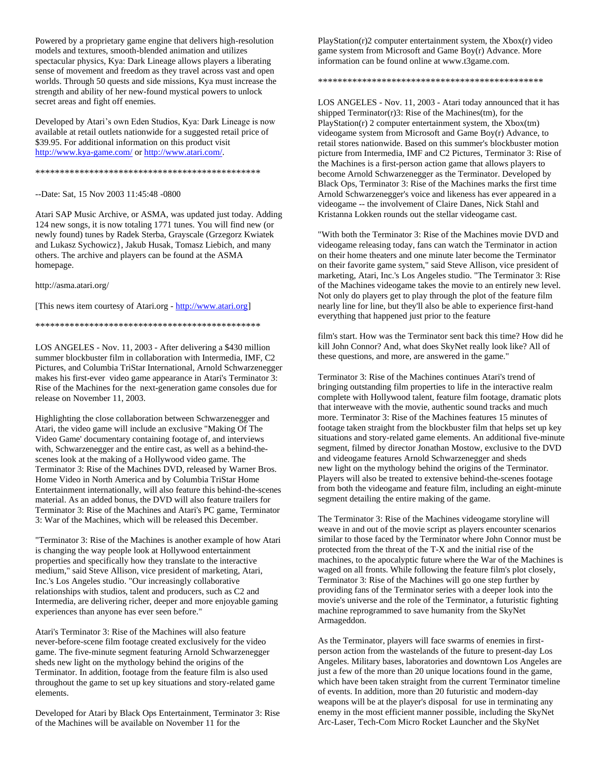Powered by a proprietary game engine that delivers high-resolution models and textures, smooth-blended animation and utilizes spectacular physics, Kya: Dark Lineage allows players a liberating sense of movement and freedom as they travel across vast and open worlds. Through 50 quests and side missions, Kya must increase the strength and ability of her new-found mystical powers to unlock secret areas and fight off enemies.

Developed by Atari's own Eden Studios, Kya: Dark Lineage is now available at retail outlets nationwide for a suggested retail price of \$39.95. For additional information on this product visit <http://www.kya-game.com/> or [http://www.atari.com/.](http://www.atari.com/)

#### \*\*\*\*\*\*\*\*\*\*\*\*\*\*\*\*\*\*\*\*\*\*\*\*\*\*\*\*\*\*\*\*\*\*\*\*\*\*\*\*\*\*\*\*\*\*

## --Date: Sat, 15 Nov 2003 11:45:48 -0800

Atari SAP Music Archive, or ASMA, was updated just today. Adding 124 new songs, it is now totaling 1771 tunes. You will find new (or newly found) tunes by Radek Sterba, Grayscale (Grzegorz Kwiatek and Lukasz Sychowicz}, Jakub Husak, Tomasz Liebich, and many others. The archive and players can be found at the ASMA homepage.

http://asma.atari.org/

[This news item courtesy of Atari.org - [http://www.atari.org\]](http://www.atari.org/)

### \*\*\*\*\*\*\*\*\*\*\*\*\*\*\*\*\*\*\*\*\*\*\*\*\*\*\*\*\*\*\*\*\*\*\*\*\*\*\*\*\*\*\*\*\*\*

LOS ANGELES - Nov. 11, 2003 - After delivering a \$430 million summer blockbuster film in collaboration with Intermedia, IMF, C2 Pictures, and Columbia TriStar International, Arnold Schwarzenegger makes his first-ever video game appearance in Atari's Terminator 3: Rise of the Machines for the next-generation game consoles due for release on November 11, 2003.

Highlighting the close collaboration between Schwarzenegger and Atari, the video game will include an exclusive "Making Of The Video Game' documentary containing footage of, and interviews with, Schwarzenegger and the entire cast, as well as a behind-thescenes look at the making of a Hollywood video game. The Terminator 3: Rise of the Machines DVD, released by Warner Bros. Home Video in North America and by Columbia TriStar Home Entertainment internationally, will also feature this behind-the-scenes material. As an added bonus, the DVD will also feature trailers for Terminator 3: Rise of the Machines and Atari's PC game, Terminator 3: War of the Machines, which will be released this December.

"Terminator 3: Rise of the Machines is another example of how Atari is changing the way people look at Hollywood entertainment properties and specifically how they translate to the interactive medium," said Steve Allison, vice president of marketing, Atari, Inc.'s Los Angeles studio. "Our increasingly collaborative relationships with studios, talent and producers, such as C2 and Intermedia, are delivering richer, deeper and more enjoyable gaming experiences than anyone has ever seen before."

Atari's Terminator 3: Rise of the Machines will also feature never-before-scene film footage created exclusively for the video game. The five-minute segment featuring Arnold Schwarzenegger sheds new light on the mythology behind the origins of the Terminator. In addition, footage from the feature film is also used throughout the game to set up key situations and story-related game elements.

Developed for Atari by Black Ops Entertainment, Terminator 3: Rise of the Machines will be available on November 11 for the

 $PlayStation(r)2 computer entertainment system, the Xbox(r) video$ game system from Microsoft and Game Boy(r) Advance. More information can be found online at www.t3game.com.

\*\*\*\*\*\*\*\*\*\*\*\*\*\*\*\*\*\*\*\*\*\*\*\*\*\*\*\*\*\*\*\*\*\*\*\*\*\*\*\*\*\*\*\*\*\*

LOS ANGELES - Nov. 11, 2003 - Atari today announced that it has shipped Terminator(r)3: Rise of the Machines(tm), for the PlayStation(r) 2 computer entertainment system, the Xbox(tm) videogame system from Microsoft and Game Boy(r) Advance, to retail stores nationwide. Based on this summer's blockbuster motion picture from Intermedia, IMF and C2 Pictures, Terminator 3: Rise of the Machines is a first-person action game that allows players to become Arnold Schwarzenegger as the Terminator. Developed by Black Ops, Terminator 3: Rise of the Machines marks the first time Arnold Schwarzenegger's voice and likeness has ever appeared in a videogame -- the involvement of Claire Danes, Nick Stahl and Kristanna Lokken rounds out the stellar videogame cast.

"With both the Terminator 3: Rise of the Machines movie DVD and videogame releasing today, fans can watch the Terminator in action on their home theaters and one minute later become the Terminator on their favorite game system," said Steve Allison, vice president of marketing, Atari, Inc.'s Los Angeles studio. "The Terminator 3: Rise of the Machines videogame takes the movie to an entirely new level. Not only do players get to play through the plot of the feature film nearly line for line, but they'll also be able to experience first-hand everything that happened just prior to the feature

film's start. How was the Terminator sent back this time? How did he kill John Connor? And, what does SkyNet really look like? All of these questions, and more, are answered in the game."

Terminator 3: Rise of the Machines continues Atari's trend of bringing outstanding film properties to life in the interactive realm complete with Hollywood talent, feature film footage, dramatic plots that interweave with the movie, authentic sound tracks and much more. Terminator 3: Rise of the Machines features 15 minutes of footage taken straight from the blockbuster film that helps set up key situations and story-related game elements. An additional five-minute segment, filmed by director Jonathan Mostow, exclusive to the DVD and videogame features Arnold Schwarzenegger and sheds new light on the mythology behind the origins of the Terminator. Players will also be treated to extensive behind-the-scenes footage from both the videogame and feature film, including an eight-minute segment detailing the entire making of the game.

The Terminator 3: Rise of the Machines videogame storyline will weave in and out of the movie script as players encounter scenarios similar to those faced by the Terminator where John Connor must be protected from the threat of the T-X and the initial rise of the machines, to the apocalyptic future where the War of the Machines is waged on all fronts. While following the feature film's plot closely, Terminator 3: Rise of the Machines will go one step further by providing fans of the Terminator series with a deeper look into the movie's universe and the role of the Terminator, a futuristic fighting machine reprogrammed to save humanity from the SkyNet Armageddon.

As the Terminator, players will face swarms of enemies in firstperson action from the wastelands of the future to present-day Los Angeles. Military bases, laboratories and downtown Los Angeles are just a few of the more than 20 unique locations found in the game, which have been taken straight from the current Terminator timeline of events. In addition, more than 20 futuristic and modern-day weapons will be at the player's disposal for use in terminating any enemy in the most efficient manner possible, including the SkyNet Arc-Laser, Tech-Com Micro Rocket Launcher and the SkyNet